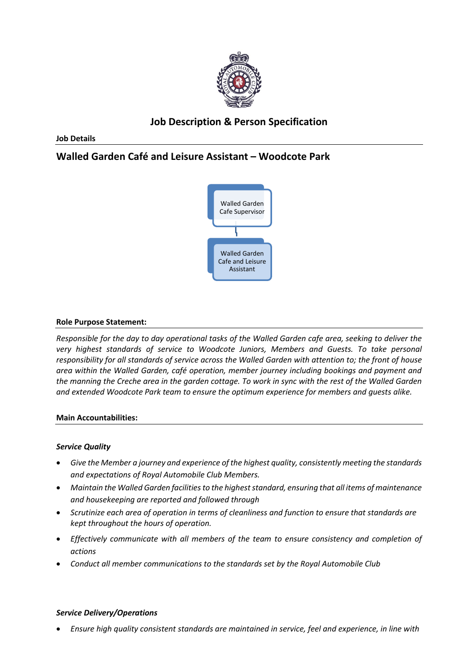

# **Job Description & Person Specification**

**Job Details**

# **Walled Garden Café and Leisure Assistant – Woodcote Park**



#### **Role Purpose Statement:**

*Responsible for the day to day operational tasks of the Walled Garden cafe area, seeking to deliver the very highest standards of service to Woodcote Juniors, Members and Guests. To take personal responsibility for all standards of service across the Walled Garden with attention to; the front of house area within the Walled Garden, café operation, member journey including bookings and payment and the manning the Creche area in the garden cottage. To work in sync with the rest of the Walled Garden and extended Woodcote Park team to ensure the optimum experience for members and guests alike.* 

#### **Main Accountabilities:**

#### *Service Quality*

- *Give the Member a journey and experience of the highest quality, consistently meeting the standards and expectations of Royal Automobile Club Members.*
- *Maintain the Walled Garden facilities to the highest standard, ensuring that all items of maintenance and housekeeping are reported and followed through*
- *Scrutinize each area of operation in terms of cleanliness and function to ensure that standards are kept throughout the hours of operation.*
- *Effectively communicate with all members of the team to ensure consistency and completion of actions*
- *Conduct all member communications to the standards set by the Royal Automobile Club*

## *Service Delivery/Operations*

• *Ensure high quality consistent standards are maintained in service, feel and experience, in line with*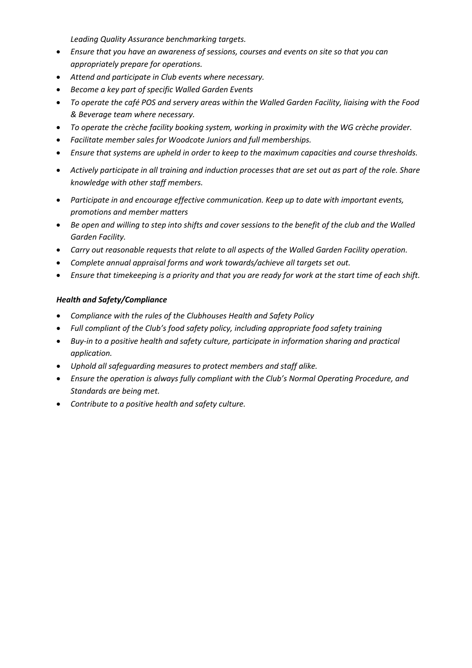*Leading Quality Assurance benchmarking targets.*

- *Ensure that you have an awareness of sessions, courses and events on site so that you can appropriately prepare for operations.*
- *Attend and participate in Club events where necessary.*
- *Become a key part of specific Walled Garden Events*
- *To operate the café POS and servery areas within the Walled Garden Facility, liaising with the Food & Beverage team where necessary.*
- *To operate the crèche facility booking system, working in proximity with the WG crèche provider.*
- *Facilitate member sales for Woodcote Juniors and full memberships.*
- *Ensure that systems are upheld in order to keep to the maximum capacities and course thresholds.*
- *Actively participate in all training and induction processes that are set out as part of the role. Share knowledge with other staff members.*
- *Participate in and encourage effective communication. Keep up to date with important events, promotions and member matters*
- *Be open and willing to step into shifts and cover sessions to the benefit of the club and the Walled Garden Facility.*
- *Carry out reasonable requests that relate to all aspects of the Walled Garden Facility operation.*
- *Complete annual appraisal forms and work towards/achieve all targets set out.*
- *Ensure that timekeeping is a priority and that you are ready for work at the start time of each shift.*

## *Health and Safety/Compliance*

- *Compliance with the rules of the Clubhouses Health and Safety Policy*
- *Full compliant of the Club's food safety policy, including appropriate food safety training*
- *Buy-in to a positive health and safety culture, participate in information sharing and practical application.*
- *Uphold all safeguarding measures to protect members and staff alike.*
- *Ensure the operation is always fully compliant with the Club's Normal Operating Procedure, and Standards are being met.*
- *Contribute to a positive health and safety culture.*